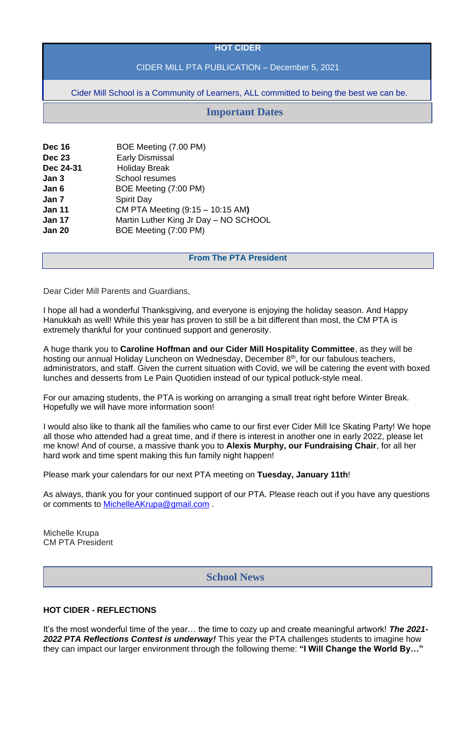### **HOT CIDER**

# CIDER MILL PTA PUBLICATION – December 5, 2021

Cider Mill School is a Community of Learners, ALL committed to being the best we can be.

| <b>Dec 16</b> | BOE Meeting (7.00 PM)                 |
|---------------|---------------------------------------|
| <b>Dec 23</b> | <b>Early Dismissal</b>                |
| Dec 24-31     | <b>Holiday Break</b>                  |
| Jan 3         | School resumes                        |
| Jan 6         | BOE Meeting (7:00 PM)                 |
| Jan 7         | <b>Spirit Day</b>                     |
| <b>Jan 11</b> | CM PTA Meeting (9:15 - 10:15 AM)      |
| <b>Jan 17</b> | Martin Luther King Jr Day - NO SCHOOL |
| <b>Jan 20</b> | BOE Meeting (7:00 PM)                 |

#### **From The PTA President**

Dear Cider Mill Parents and Guardians,

I hope all had a wonderful Thanksgiving, and everyone is enjoying the holiday season. And Happy Hanukkah as well! While this year has proven to still be a bit different than most, the CM PTA is extremely thankful for your continued support and generosity.

A huge thank you to **Caroline Hoffman and our Cider Mill Hospitality Committee**, as they will be hosting our annual Holiday Luncheon on Wednesday, December 8<sup>th</sup>, for our fabulous teachers, administrators, and staff. Given the current situation with Covid, we will be catering the event with boxed lunches and desserts from Le Pain Quotidien instead of our typical potluck-style meal.

For our amazing students, the PTA is working on arranging a small treat right before Winter Break. Hopefully we will have more information soon!

I would also like to thank all the families who came to our first ever Cider Mill Ice Skating Party! We hope all those who attended had a great time, and if there is interest in another one in early 2022, please let me know! And of course, a massive thank you to **Alexis Murphy, our Fundraising Chair**, for all her hard work and time spent making this fun family night happen!

Please mark your calendars for our next PTA meeting on **Tuesday, January 11th**!

As always, thank you for your continued support of our PTA. Please reach out if you have any questions or comments to [MichelleAKrupa@gmail.com](mailto:MichelleAKrupa@gmail.com) .

Michelle Krupa

# **HOT CIDER - REFLECTIONS**

It's the most wonderful time of the year… the time to cozy up and create meaningful artwork! *The 2021- 2022 PTA Reflections Contest is underway!* This year the PTA challenges students to imagine how they can impact our larger environment through the following theme: **"I Will Change the World By…"**

# **Important Dates**

# **School News**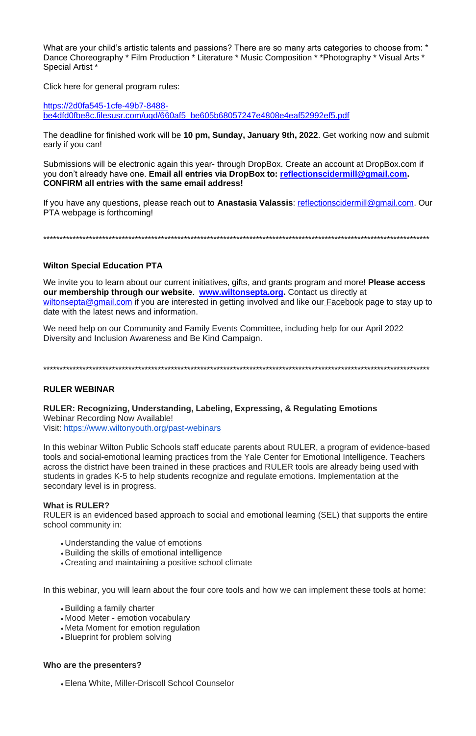What are your child's artistic talents and passions? There are so many arts categories to choose from: \* Dance Choreography \* Film Production \* Literature \* Music Composition \* \* Photography \* Visual Arts \* Special Artist<sup>\*</sup>

Click here for general program rules:

https://2d0fa545-1cfe-49b7-8488be4dfd0fbe8c.filesusr.com/ugd/660af5\_be605b68057247e4808e4eaf52992ef5.pdf

The deadline for finished work will be 10 pm, Sunday, January 9th, 2022. Get working now and submit early if you can!

Submissions will be electronic again this year-through DropBox. Create an account at DropBox.com if you don't already have one. Email all entries via DropBox to: reflectionscidermill@gmail.com. **CONFIRM all entries with the same email address!** 

If you have any questions, please reach out to Anastasia Valassis: reflectionscidermill@gmail.com. Our PTA webpage is forthcoming!

### **Wilton Special Education PTA**

We invite you to learn about our current initiatives, gifts, and grants program and more! Please access our membership through our website. www.wiltonsepta.org. Contact us directly at wiltonsepta@gmail.com if you are interested in getting involved and like our Facebook page to stay up to date with the latest news and information.

We need help on our Community and Family Events Committee, including help for our April 2022 Diversity and Inclusion Awareness and Be Kind Campaign.

#### **RULER WEBINAR**

RULER: Recognizing, Understanding, Labeling, Expressing, & Regulating Emotions Webinar Recording Now Available! Visit: https://www.wiltonyouth.org/past-webinars

In this webinar Wilton Public Schools staff educate parents about RULER, a program of evidence-based tools and social-emotional learning practices from the Yale Center for Emotional Intelligence. Teachers across the district have been trained in these practices and RULER tools are already being used with students in grades K-5 to help students recognize and regulate emotions. Implementation at the secondary level is in progress.

#### **What is RULER?**

RULER is an evidenced based approach to social and emotional learning (SEL) that supports the entire school community in:

- Understanding the value of emotions
- Building the skills of emotional intelligence
- Creating and maintaining a positive school climate

In this webinar, you will learn about the four core tools and how we can implement these tools at home:

- Building a family charter
- Mood Meter emotion vocabulary
- Meta Moment for emotion regulation
- Blueprint for problem solving

# Who are the presenters?

• Elena White, Miller-Driscoll School Counselor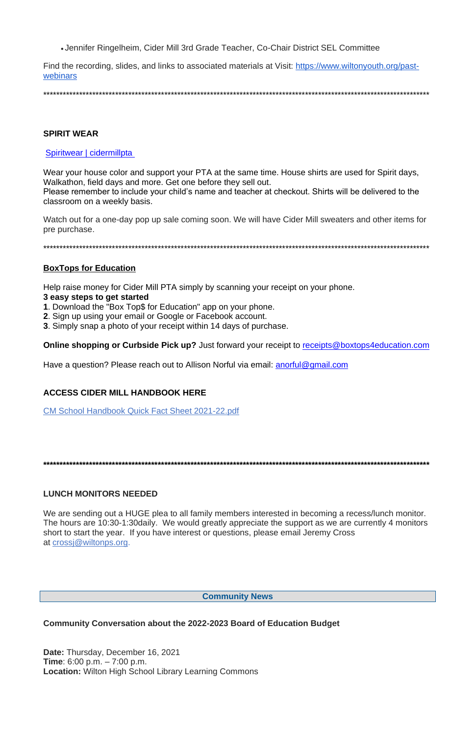• Jennifer Ringelheim, Cider Mill 3rd Grade Teacher, Co-Chair District SEL Committee

Find the recording, slides, and links to associated materials at Visit: https://www.wiltonyouth.org/pastwebinars

# **SPIRIT WEAR**

# Spiritwear | cidermillpta

Wear your house color and support your PTA at the same time. House shirts are used for Spirit days, Walkathon, field days and more. Get one before they sell out.

Please remember to include your child's name and teacher at checkout. Shirts will be delivered to the classroom on a weekly basis.

Watch out for a one-day pop up sale coming soon. We will have Cider Mill sweaters and other items for pre purchase.

# **BoxTops for Education**

Help raise money for Cider Mill PTA simply by scanning your receipt on your phone.

# 3 easy steps to get started

- 1. Download the "Box Top\$ for Education" app on your phone.
- 2. Sign up using your email or Google or Facebook account.
- 3. Simply snap a photo of your receipt within 14 days of purchase.

**Online shopping or Curbside Pick up?** Just forward your receipt to receipts@boxtops4education.com

Have a question? Please reach out to Allison Norful via email: anorful@gmail.com

# **ACCESS CIDER MILL HANDBOOK HERE**

**CM School Handbook Quick Fact Sheet 2021-22.pdf** 

# **LUNCH MONITORS NEEDED**

We are sending out a HUGE plea to all family members interested in becoming a recess/lunch monitor. The hours are 10:30-1:30 daily. We would greatly appreciate the support as we are currently 4 monitors short to start the year. If you have interest or questions, please email Jeremy Cross

#### **Community News**

Community Conversation about the 2022-2023 Board of Education Budget

Date: Thursday, December 16, 2021 **Time**:  $6:00 \text{ p.m.} - 7:00 \text{ p.m.}$ **Location:** Wilton High School Library Learning Commons